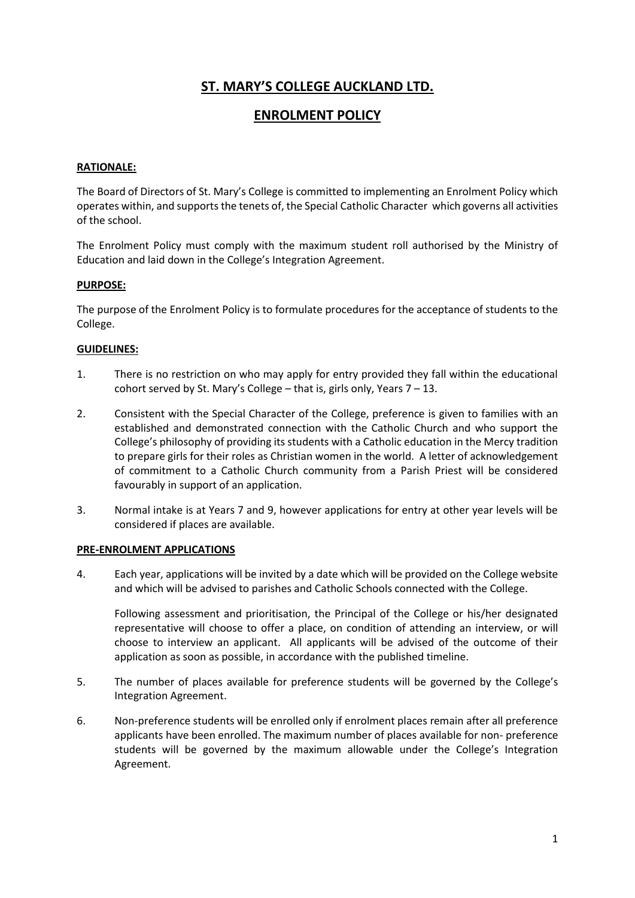# **ST. MARY'S COLLEGE AUCKLAND LTD.**

## **ENROLMENT POLICY**

## **RATIONALE:**

The Board of Directors of St. Mary's College is committed to implementing an Enrolment Policy which operates within, and supports the tenets of, the Special Catholic Character which governs all activities of the school.

The Enrolment Policy must comply with the maximum student roll authorised by the Ministry of Education and laid down in the College's Integration Agreement.

## **PURPOSE:**

The purpose of the Enrolment Policy is to formulate procedures for the acceptance of students to the College.

## **GUIDELINES:**

- 1. There is no restriction on who may apply for entry provided they fall within the educational cohort served by St. Mary's College – that is, girls only, Years  $7 - 13$ .
- 2. Consistent with the Special Character of the College, preference is given to families with an established and demonstrated connection with the Catholic Church and who support the College's philosophy of providing its students with a Catholic education in the Mercy tradition to prepare girls for their roles as Christian women in the world. A letter of acknowledgement of commitment to a Catholic Church community from a Parish Priest will be considered favourably in support of an application.
- 3. Normal intake is at Years 7 and 9, however applications for entry at other year levels will be considered if places are available.

#### **PRE-ENROLMENT APPLICATIONS**

4. Each year, applications will be invited by a date which will be provided on the College website and which will be advised to parishes and Catholic Schools connected with the College.

Following assessment and prioritisation, the Principal of the College or his/her designated representative will choose to offer a place, on condition of attending an interview, or will choose to interview an applicant. All applicants will be advised of the outcome of their application as soon as possible, in accordance with the published timeline.

- 5. The number of places available for preference students will be governed by the College's Integration Agreement.
- 6. Non-preference students will be enrolled only if enrolment places remain after all preference applicants have been enrolled. The maximum number of places available for non- preference students will be governed by the maximum allowable under the College's Integration Agreement.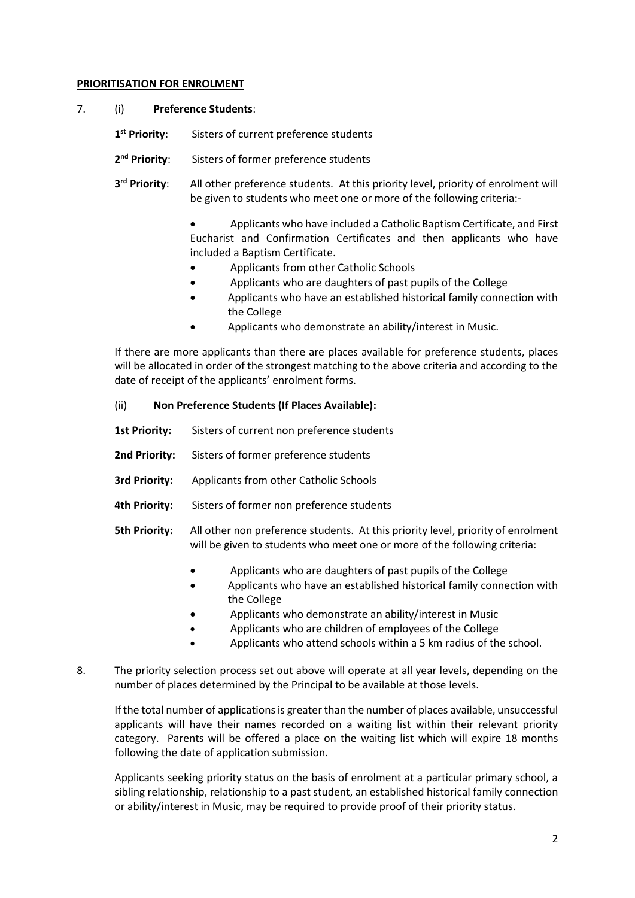#### **PRIORITISATION FOR ENROLMENT**

- 7. (i) **Preference Students**:
	- 1<sup>st</sup> Priority: Sisters of current preference students
	- 2<sup>nd</sup> Priority: **Sisters of former preference students**
	- 3<sup>rd</sup> Priority: All other preference students. At this priority level, priority of enrolment will be given to students who meet one or more of the following criteria:-
		- Applicants who have included a Catholic Baptism Certificate, and First Eucharist and Confirmation Certificates and then applicants who have included a Baptism Certificate.
		- Applicants from other Catholic Schools
		- Applicants who are daughters of past pupils of the College
		- Applicants who have an established historical family connection with the College
		- Applicants who demonstrate an ability/interest in Music.

If there are more applicants than there are places available for preference students, places will be allocated in order of the strongest matching to the above criteria and according to the date of receipt of the applicants' enrolment forms.

#### (ii) **Non Preference Students (If Places Available):**

- 1st Priority: Sisters of current non preference students
- **2nd Priority:** Sisters of former preference students
- **3rd Priority:** Applicants from other Catholic Schools
- **4th Priority:** Sisters of former non preference students
- **5th Priority:** All other non preference students. At this priority level, priority of enrolment will be given to students who meet one or more of the following criteria:
	- Applicants who are daughters of past pupils of the College
	- Applicants who have an established historical family connection with the College
	- Applicants who demonstrate an ability/interest in Music
	- Applicants who are children of employees of the College
	- Applicants who attend schools within a 5 km radius of the school.
- 8. The priority selection process set out above will operate at all year levels, depending on the number of places determined by the Principal to be available at those levels.

If the total number of applications is greater than the number of places available, unsuccessful applicants will have their names recorded on a waiting list within their relevant priority category. Parents will be offered a place on the waiting list which will expire 18 months following the date of application submission.

Applicants seeking priority status on the basis of enrolment at a particular primary school, a sibling relationship, relationship to a past student, an established historical family connection or ability/interest in Music, may be required to provide proof of their priority status.